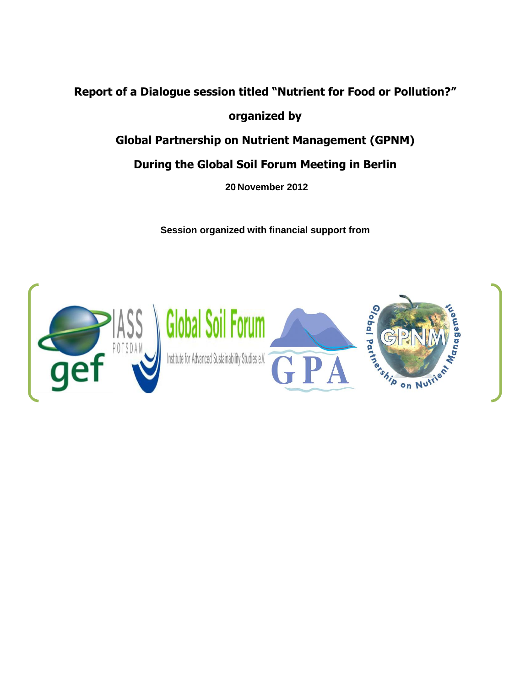## **Report of a Dialogue session titled "Nutrient for Food or Pollution?"**

**organized by**

**Global Partnership on Nutrient Management (GPNM)**

## **During the Global Soil Forum Meeting in Berlin**

**20 November 2012**

**Session organized with financial support from** 

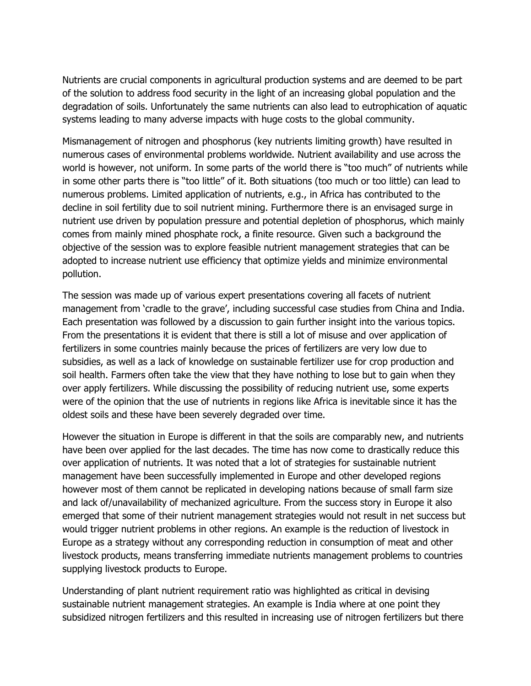Nutrients are crucial components in agricultural production systems and are deemed to be part of the solution to address food security in the light of an increasing global population and the degradation of soils. Unfortunately the same nutrients can also lead to eutrophication of aquatic systems leading to many adverse impacts with huge costs to the global community.

Mismanagement of nitrogen and phosphorus (key nutrients limiting growth) have resulted in numerous cases of environmental problems worldwide. Nutrient availability and use across the world is however, not uniform. In some parts of the world there is "too much" of nutrients while in some other parts there is "too little" of it. Both situations (too much or too little) can lead to numerous problems. Limited application of nutrients, e.g., in Africa has contributed to the decline in soil fertility due to soil nutrient mining. Furthermore there is an envisaged surge in nutrient use driven by population pressure and potential depletion of phosphorus, which mainly comes from mainly mined phosphate rock, a finite resource. Given such a background the objective of the session was to explore feasible nutrient management strategies that can be adopted to increase nutrient use efficiency that optimize yields and minimize environmental pollution.

The session was made up of various expert presentations covering all facets of nutrient management from 'cradle to the grave', including successful case studies from China and India. Each presentation was followed by a discussion to gain further insight into the various topics. From the presentations it is evident that there is still a lot of misuse and over application of fertilizers in some countries mainly because the prices of fertilizers are very low due to subsidies, as well as a lack of knowledge on sustainable fertilizer use for crop production and soil health. Farmers often take the view that they have nothing to lose but to gain when they over apply fertilizers. While discussing the possibility of reducing nutrient use, some experts were of the opinion that the use of nutrients in regions like Africa is inevitable since it has the oldest soils and these have been severely degraded over time.

However the situation in Europe is different in that the soils are comparably new, and nutrients have been over applied for the last decades. The time has now come to drastically reduce this over application of nutrients. It was noted that a lot of strategies for sustainable nutrient management have been successfully implemented in Europe and other developed regions however most of them cannot be replicated in developing nations because of small farm size and lack of/unavailability of mechanized agriculture. From the success story in Europe it also emerged that some of their nutrient management strategies would not result in net success but would trigger nutrient problems in other regions. An example is the reduction of livestock in Europe as a strategy without any corresponding reduction in consumption of meat and other livestock products, means transferring immediate nutrients management problems to countries supplying livestock products to Europe.

Understanding of plant nutrient requirement ratio was highlighted as critical in devising sustainable nutrient management strategies. An example is India where at one point they subsidized nitrogen fertilizers and this resulted in increasing use of nitrogen fertilizers but there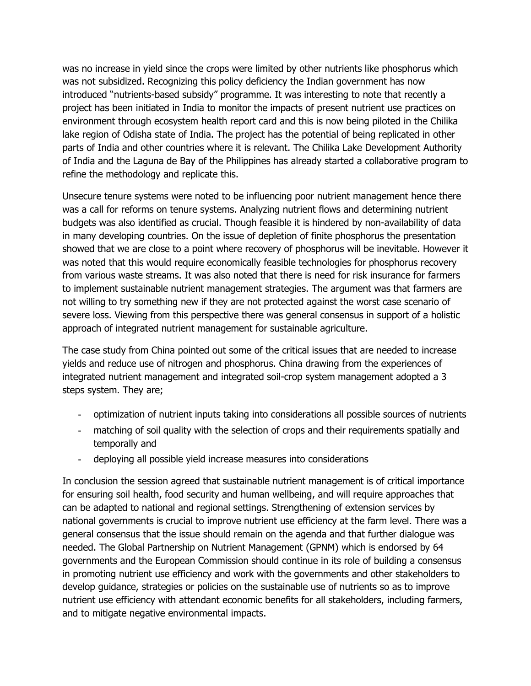was no increase in yield since the crops were limited by other nutrients like phosphorus which was not subsidized. Recognizing this policy deficiency the Indian government has now introduced "nutrients-based subsidy" programme. It was interesting to note that recently a project has been initiated in India to monitor the impacts of present nutrient use practices on environment through ecosystem health report card and this is now being piloted in the Chilika lake region of Odisha state of India. The project has the potential of being replicated in other parts of India and other countries where it is relevant. The Chilika Lake Development Authority of India and the Laguna de Bay of the Philippines has already started a collaborative program to refine the methodology and replicate this.

Unsecure tenure systems were noted to be influencing poor nutrient management hence there was a call for reforms on tenure systems. Analyzing nutrient flows and determining nutrient budgets was also identified as crucial. Though feasible it is hindered by non-availability of data in many developing countries. On the issue of depletion of finite phosphorus the presentation showed that we are close to a point where recovery of phosphorus will be inevitable. However it was noted that this would require economically feasible technologies for phosphorus recovery from various waste streams. It was also noted that there is need for risk insurance for farmers to implement sustainable nutrient management strategies. The argument was that farmers are not willing to try something new if they are not protected against the worst case scenario of severe loss. Viewing from this perspective there was general consensus in support of a holistic approach of integrated nutrient management for sustainable agriculture.

The case study from China pointed out some of the critical issues that are needed to increase yields and reduce use of nitrogen and phosphorus. China drawing from the experiences of integrated nutrient management and integrated soil-crop system management adopted a 3 steps system. They are;

- optimization of nutrient inputs taking into considerations all possible sources of nutrients
- matching of soil quality with the selection of crops and their requirements spatially and temporally and
- deploying all possible yield increase measures into considerations

In conclusion the session agreed that sustainable nutrient management is of critical importance for ensuring soil health, food security and human wellbeing, and will require approaches that can be adapted to national and regional settings. Strengthening of extension services by national governments is crucial to improve nutrient use efficiency at the farm level. There was a general consensus that the issue should remain on the agenda and that further dialogue was needed. The Global Partnership on Nutrient Management (GPNM) which is endorsed by 64 governments and the European Commission should continue in its role of building a consensus in promoting nutrient use efficiency and work with the governments and other stakeholders to develop guidance, strategies or policies on the sustainable use of nutrients so as to improve nutrient use efficiency with attendant economic benefits for all stakeholders, including farmers, and to mitigate negative environmental impacts.